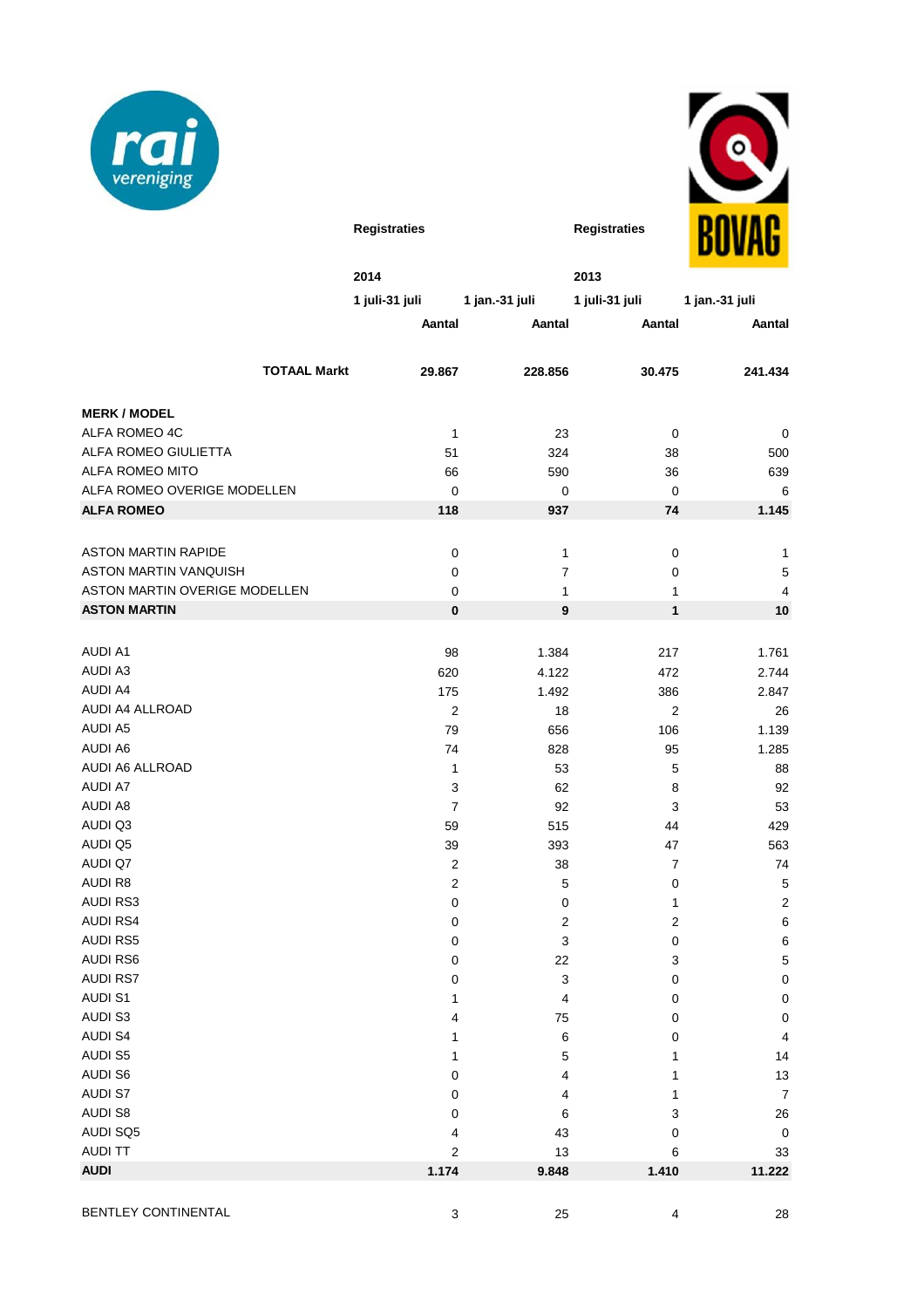



|                                   |                         |                           |                           | .                        |
|-----------------------------------|-------------------------|---------------------------|---------------------------|--------------------------|
|                                   | 2014                    |                           | 2013                      |                          |
|                                   | 1 juli-31 juli          | 1 jan.-31 juli            | 1 juli-31 juli            | 1 jan.-31 juli           |
|                                   | Aantal                  | Aantal                    | Aantal                    | Aantal                   |
|                                   |                         |                           |                           |                          |
| <b>TOTAAL Markt</b>               | 29.867                  | 228.856                   | 30.475                    | 241.434                  |
|                                   |                         |                           |                           |                          |
| <b>MERK / MODEL</b>               |                         |                           |                           |                          |
| ALFA ROMEO 4C                     | $\mathbf{1}$            | 23                        | 0                         | 0                        |
| ALFA ROMEO GIULIETTA              | 51                      | 324                       | 38                        | 500                      |
| <b>ALFA ROMEO MITO</b>            | 66                      | 590                       | 36                        | 639                      |
| ALFA ROMEO OVERIGE MODELLEN       | $\mathbf 0$             | 0                         | $\mathbf 0$               | 6                        |
| <b>ALFA ROMEO</b>                 | 118                     | 937                       | 74                        | 1.145                    |
|                                   |                         |                           |                           |                          |
| <b>ASTON MARTIN RAPIDE</b>        | $\pmb{0}$               | 1                         | 0                         | 1                        |
| <b>ASTON MARTIN VANQUISH</b>      | 0                       | $\overline{7}$            | 0                         | 5                        |
| ASTON MARTIN OVERIGE MODELLEN     | 0                       | $\mathbf{1}$              | 1                         | 4                        |
| <b>ASTON MARTIN</b>               | $\bf{0}$                | $\boldsymbol{9}$          | $\mathbf{1}$              | 10                       |
|                                   |                         |                           |                           |                          |
| <b>AUDI A1</b>                    | 98                      | 1.384                     | 217                       | 1.761                    |
| <b>AUDI A3</b>                    | 620                     | 4.122                     | 472                       | 2.744                    |
| AUDI A4                           | 175                     | 1.492                     | 386                       | 2.847                    |
| AUDI A4 ALLROAD                   | $\overline{2}$          | 18                        | $\overline{2}$            | 26                       |
| <b>AUDI A5</b>                    | 79                      | 656                       | 106                       | 1.139                    |
| <b>AUDI A6</b>                    | 74                      | 828                       | 95                        | 1.285                    |
| AUDI A6 ALLROAD                   | 1                       | 53                        | 5                         | 88                       |
| <b>AUDI A7</b>                    | 3                       | 62                        | 8                         | 92                       |
| <b>AUDI A8</b>                    | $\overline{7}$          | 92                        | 3                         | 53                       |
| AUDI Q3                           | 59                      | 515                       | 44                        | 429                      |
| AUDI Q5                           | 39                      | 393                       | 47                        | 563                      |
| AUDI Q7                           | $\overline{2}$          | 38                        | $\overline{7}$            | 74                       |
| <b>AUDI R8</b>                    | 2                       | 5                         | 0                         | $\mathbf 5$              |
| <b>AUDI RS3</b>                   | 0                       | 0                         | 1                         | $\overline{2}$           |
| <b>AUDI RS4</b>                   | 0                       | $\overline{2}$            | $\boldsymbol{2}$          | 6                        |
| <b>AUDI RS5</b>                   | 0                       | 3                         | 0                         | 6                        |
| <b>AUDI RS6</b>                   | $\pmb{0}$               | 22                        | $\ensuremath{\mathsf{3}}$ | $\mathbf 5$              |
| <b>AUDI RS7</b><br><b>AUDI S1</b> | 0                       | $\ensuremath{\mathsf{3}}$ | 0                         | $\mathbf 0$              |
| <b>AUDI S3</b>                    | 1<br>4                  | 4                         | 0                         | $\mathbf 0$<br>$\pmb{0}$ |
| <b>AUDI S4</b>                    | 1                       | 75<br>6                   | 0<br>0                    | $\overline{\mathbf{4}}$  |
| <b>AUDI S5</b>                    | 1                       | 5                         | 1                         | 14                       |
| <b>AUDI S6</b>                    | 0                       | 4                         | 1                         | 13                       |
| <b>AUDI S7</b>                    | 0                       | 4                         | 1                         | $\overline{7}$           |
| <b>AUDI S8</b>                    | 0                       | 6                         | 3                         | 26                       |
| AUDI SQ5                          | 4                       | 43                        | 0                         | $\pmb{0}$                |
| <b>AUDI TT</b>                    | $\overline{\mathbf{c}}$ | 13                        | 6                         | 33                       |
| <b>AUDI</b>                       | 1.174                   | 9.848                     | 1.410                     | 11.222                   |
|                                   |                         |                           |                           |                          |

**Registraties Registraties**

BENTLEY CONTINENTAL 28 25 4 28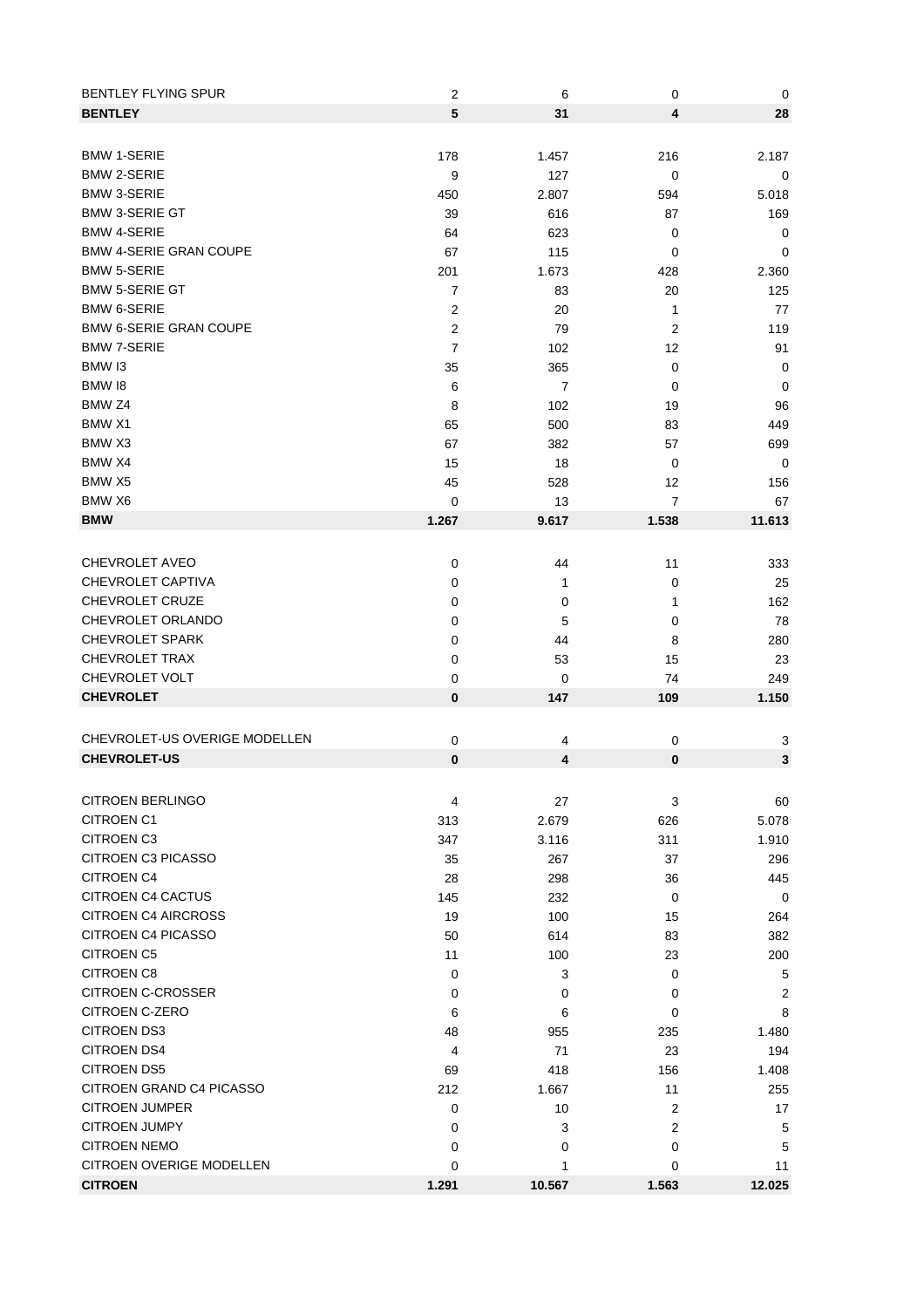| <b>BENTLEY FLYING SPUR</b><br><b>BENTLEY</b>    | 2<br>5         | 6<br>31        | 0<br>4         | 0<br>28      |
|-------------------------------------------------|----------------|----------------|----------------|--------------|
|                                                 |                |                |                |              |
| <b>BMW 1-SERIE</b>                              | 178            | 1.457          | 216            | 2.187        |
| <b>BMW 2-SERIE</b>                              | 9              | 127            | 0              | 0            |
| <b>BMW 3-SERIE</b><br><b>BMW 3-SERIE GT</b>     | 450            | 2.807          | 594            | 5.018        |
| <b>BMW 4-SERIE</b>                              | 39             | 616<br>623     | 87             | 169          |
| <b>BMW 4-SERIE GRAN COUPE</b>                   | 64             |                | 0              | 0            |
| <b>BMW 5-SERIE</b>                              | 67<br>201      | 115<br>1.673   | 0<br>428       | 0<br>2.360   |
| <b>BMW 5-SERIE GT</b>                           | 7              | 83             | 20             | 125          |
| <b>BMW 6-SERIE</b>                              | 2              | 20             | 1              | 77           |
| <b>BMW 6-SERIE GRAN COUPE</b>                   | $\overline{2}$ | 79             | 2              | 119          |
| <b>BMW 7-SERIE</b>                              | 7              | 102            | 12             | 91           |
| BMW <sub>13</sub>                               | 35             | 365            | 0              | 0            |
| BMW 18                                          | 6              | $\overline{7}$ | 0              | 0            |
| BMW <sub>Z4</sub>                               | 8              | 102            | 19             | 96           |
| BMW X1                                          | 65             | 500            | 83             | 449          |
| BMW <sub>X3</sub>                               | 67             | 382            | 57             | 699          |
| BMW X4                                          | 15             | 18             | 0              | 0            |
| BMW X5                                          | 45             | 528            | 12             | 156          |
| BMW X6                                          | 0              | 13             | 7              | 67           |
| <b>BMW</b>                                      | 1.267          | 9.617          | 1.538          | 11.613       |
|                                                 |                |                |                |              |
| <b>CHEVROLET AVEO</b>                           | 0              | 44             | 11             | 333          |
| CHEVROLET CAPTIVA                               | 0              | 1              | 0              | 25           |
| CHEVROLET CRUZE                                 | 0              | 0              | 1              | 162          |
| CHEVROLET ORLANDO                               | 0              | 5              | 0              | 78           |
| <b>CHEVROLET SPARK</b>                          | 0              | 44             | 8              | 280          |
| <b>CHEVROLET TRAX</b>                           | 0              | 53             | 15             | 23           |
| CHEVROLET VOLT                                  | 0              | 0              | 74             | 249          |
| <b>CHEVROLET</b>                                | $\bf{0}$       | 147            | 109            | 1.150        |
|                                                 |                |                |                |              |
| CHEVROLET-US OVERIGE MODELLEN                   | $\mathbf 0$    | 4              | 0              | 3            |
| <b>CHEVROLET-US</b>                             | $\bf{0}$       | 4              | $\bf{0}$       | $\mathbf 3$  |
|                                                 |                |                |                |              |
| <b>CITROEN BERLINGO</b>                         | 4              | 27             | 3              | 60           |
| <b>CITROEN C1</b>                               | 313            | 2.679          | 626            | 5.078        |
| <b>CITROEN C3</b>                               | 347            | 3.116          | 311            | 1.910        |
| <b>CITROEN C3 PICASSO</b>                       | 35             | 267            | 37             | 296          |
| <b>CITROEN C4</b>                               | 28             | 298            | 36             | 445          |
| <b>CITROEN C4 CACTUS</b>                        | 145            | 232            | 0              | 0            |
| <b>CITROEN C4 AIRCROSS</b>                      | 19             | 100            | 15             | 264          |
| <b>CITROEN C4 PICASSO</b>                       | 50             | 614            | 83             | 382          |
| <b>CITROEN C5</b>                               | 11             | 100            | 23             | 200          |
| <b>CITROEN C8</b>                               | 0              | 3              | 0              | 5            |
| <b>CITROEN C-CROSSER</b>                        | 0              | 0              | 0              | 2            |
| CITROEN C-ZERO                                  | 6              | 6              | 0              | 8            |
| <b>CITROEN DS3</b>                              | 48             | 955            | 235            | 1.480        |
| <b>CITROEN DS4</b>                              | 4              | 71             | 23             | 194          |
| <b>CITROEN DS5</b>                              | 69             | 418            | 156            | 1.408        |
| CITROEN GRAND C4 PICASSO                        | 212            | 1.667          | 11             | 255          |
| <b>CITROEN JUMPER</b><br><b>CITROEN JUMPY</b>   | 0              | 10             | $\overline{2}$ | 17           |
|                                                 | 0              | 3              | 2              | 5            |
| <b>CITROEN NEMO</b><br>CITROEN OVERIGE MODELLEN | 0              | 0              | 0              | 5            |
| <b>CITROEN</b>                                  | 0<br>1.291     | 1<br>10.567    | 0<br>1.563     | 11<br>12.025 |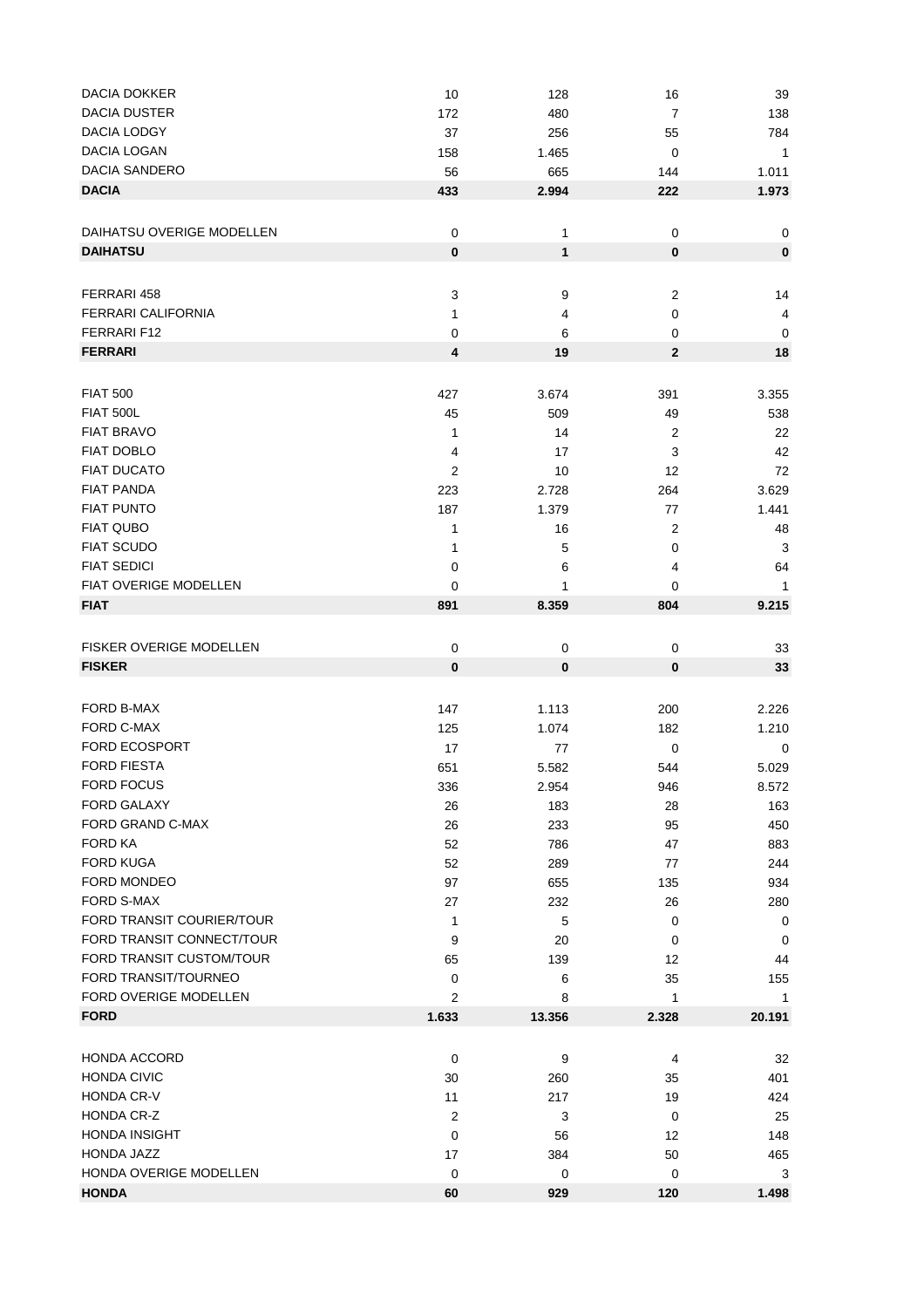| <b>DACIA DOKKER</b>            | 10             | 128          | 16               | 39                      |
|--------------------------------|----------------|--------------|------------------|-------------------------|
| <b>DACIA DUSTER</b>            | 172            | 480          | $\boldsymbol{7}$ | 138                     |
| <b>DACIA LODGY</b>             | 37             | 256          | 55               | 784                     |
| DACIA LOGAN                    | 158            | 1.465        | $\mathbf 0$      | $\overline{1}$          |
| <b>DACIA SANDERO</b>           | 56             | 665          | 144              | 1.011                   |
| <b>DACIA</b>                   | 433            | 2.994        | 222              | 1.973                   |
|                                |                |              |                  |                         |
|                                |                |              |                  |                         |
| DAIHATSU OVERIGE MODELLEN      | $\mathbf 0$    | 1            | 0                | 0                       |
| <b>DAIHATSU</b>                | $\pmb{0}$      | $\mathbf{1}$ | 0                | $\pmb{0}$               |
|                                |                |              |                  |                         |
| FERRARI 458                    | 3              | 9            | $\overline{c}$   | 14                      |
| <b>FERRARI CALIFORNIA</b>      | 1              | 4            | 0                | $\overline{\mathbf{4}}$ |
| FERRARI F12                    | 0              | 6            | 0                | 0                       |
| <b>FERRARI</b>                 | 4              | 19           | $\mathbf{2}$     | 18                      |
|                                |                |              |                  |                         |
|                                |                |              |                  |                         |
| <b>FIAT 500</b>                | 427            | 3.674        | 391              | 3.355                   |
| <b>FIAT 500L</b>               | 45             | 509          | 49               | 538                     |
| <b>FIAT BRAVO</b>              | 1              | 14           | $\overline{c}$   | 22                      |
| <b>FIAT DOBLO</b>              | 4              | 17           | 3                | 42                      |
| <b>FIAT DUCATO</b>             | $\overline{2}$ | 10           | 12               | 72                      |
| <b>FIAT PANDA</b>              | 223            | 2.728        | 264              | 3.629                   |
| <b>FIAT PUNTO</b>              | 187            | 1.379        | 77               | 1.441                   |
| <b>FIAT QUBO</b>               | 1              | 16           | $\overline{c}$   | 48                      |
| <b>FIAT SCUDO</b>              | 1              | 5            | 0                | 3                       |
| <b>FIAT SEDICI</b>             | 0              | 6            | 4                | 64                      |
| FIAT OVERIGE MODELLEN          | 0              | 1            | 0                | 1                       |
|                                |                |              |                  |                         |
| <b>FIAT</b>                    | 891            | 8.359        | 804              | 9.215                   |
|                                |                |              |                  |                         |
| <b>FISKER OVERIGE MODELLEN</b> | $\mathbf 0$    | $\mathbf 0$  | 0                | 33                      |
| <b>FISKER</b>                  | $\bf{0}$       | 0            | 0                | 33                      |
|                                |                |              |                  |                         |
| FORD B-MAX                     | 147            | 1.113        | 200              | 2.226                   |
| FORD C-MAX                     | 125            | 1.074        | 182              | 1.210                   |
| <b>FORD ECOSPORT</b>           | 17             | 77           | 0                | 0                       |
| <b>FORD FIESTA</b>             | 651            | 5.582        | 544              | 5.029                   |
| FORD FOCUS                     |                |              |                  |                         |
|                                | 336            | 2.954        | 946              | 8.572                   |
| FORD GALAXY                    | 26             | 183          | 28               | 163                     |
| FORD GRAND C-MAX               | 26             | 233          | 95               | 450                     |
| <b>FORD KA</b>                 | 52             | 786          | 47               | 883                     |
| <b>FORD KUGA</b>               | 52             | 289          | 77               | 244                     |
| FORD MONDEO                    | 97             | 655          | 135              | 934                     |
| FORD S-MAX                     | 27             | 232          | 26               | 280                     |
| FORD TRANSIT COURIER/TOUR      | 1              | 5            | 0                | $\mathbf 0$             |
| FORD TRANSIT CONNECT/TOUR      | 9              | 20           | 0                | 0                       |
| FORD TRANSIT CUSTOM/TOUR       | 65             | 139          | 12               | 44                      |
| FORD TRANSIT/TOURNEO           | 0              | 6            | 35               | 155                     |
| FORD OVERIGE MODELLEN          | $\overline{2}$ | 8            | 1                | 1                       |
| <b>FORD</b>                    | 1.633          | 13.356       | 2.328            | 20.191                  |
|                                |                |              |                  |                         |
|                                |                |              |                  |                         |
| <b>HONDA ACCORD</b>            | 0              | 9            | 4                | 32                      |
| <b>HONDA CIVIC</b>             | 30             | 260          | 35               | 401                     |
| HONDA CR-V                     | 11             | 217          | 19               | 424                     |
| HONDA CR-Z                     | $\overline{2}$ | 3            | $\pmb{0}$        | 25                      |
| HONDA INSIGHT                  | 0              | 56           | 12               | 148                     |
| HONDA JAZZ                     | 17             | 384          | 50               | 465                     |
| HONDA OVERIGE MODELLEN         | $\mathbf 0$    | $\mathbf 0$  | 0                | 3                       |
| <b>HONDA</b>                   | 60             | 929          | 120              | 1.498                   |
|                                |                |              |                  |                         |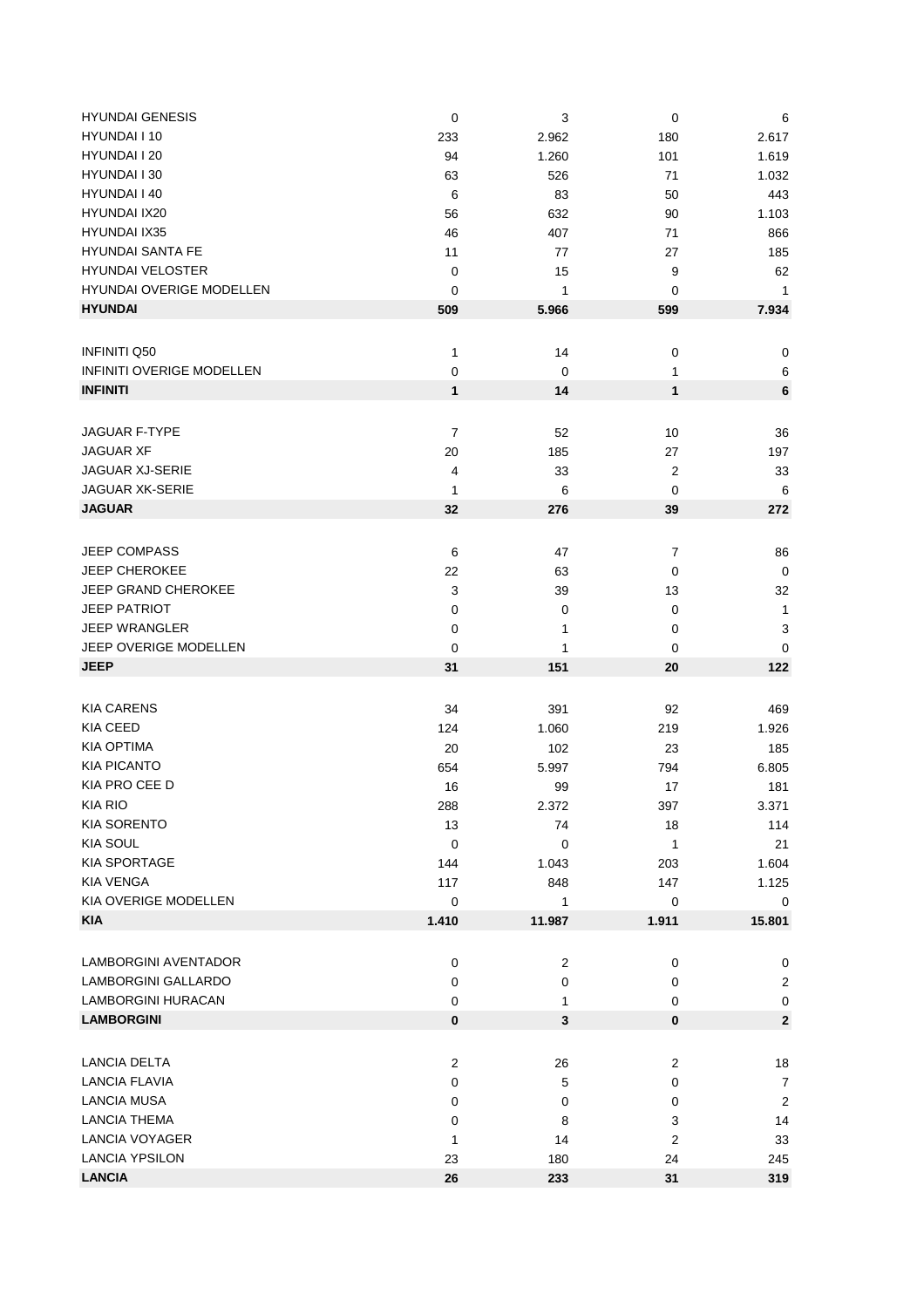| <b>HYUNDAI GENESIS</b>           | $\pmb{0}$      | 3              | 0                       | 6                       |
|----------------------------------|----------------|----------------|-------------------------|-------------------------|
| HYUNDAI I 10                     | 233            | 2.962          | 180                     | 2.617                   |
| HYUNDAI I 20                     | 94             | 1.260          | 101                     | 1.619                   |
| HYUNDAI I 30                     | 63             | 526            | 71                      | 1.032                   |
| HYUNDAI I 40                     | 6              | 83             | 50                      | 443                     |
| HYUNDAI IX20                     | 56             | 632            | 90                      | 1.103                   |
| <b>HYUNDAI IX35</b>              | 46             | 407            | 71                      | 866                     |
| <b>HYUNDAI SANTA FE</b>          | 11             | 77             | 27                      | 185                     |
| <b>HYUNDAI VELOSTER</b>          | $\pmb{0}$      | 15             | 9                       | 62                      |
| HYUNDAI OVERIGE MODELLEN         | 0              | 1              | 0                       | $\mathbf{1}$            |
| <b>HYUNDAI</b>                   | 509            | 5.966          | 599                     | 7.934                   |
|                                  |                |                |                         |                         |
|                                  |                |                |                         |                         |
| <b>INFINITI Q50</b>              | 1              | 14             | $\pmb{0}$               | $\pmb{0}$               |
| <b>INFINITI OVERIGE MODELLEN</b> | 0              | 0              | 1                       | 6                       |
| <b>INFINITI</b>                  | $\mathbf{1}$   | 14             | 1                       | 6                       |
|                                  |                |                |                         |                         |
| <b>JAGUAR F-TYPE</b>             | 7              | 52             | 10                      | 36                      |
| <b>JAGUAR XF</b>                 | 20             | 185            | 27                      | 197                     |
| <b>JAGUAR XJ-SERIE</b>           | 4              | 33             | $\boldsymbol{2}$        | 33                      |
| <b>JAGUAR XK-SERIE</b>           | 1              | 6              | 0                       | 6                       |
| <b>JAGUAR</b>                    | 32             | 276            | 39                      | 272                     |
|                                  |                |                |                         |                         |
| JEEP COMPASS                     | 6              | 47             | $\overline{7}$          | 86                      |
| <b>JEEP CHEROKEE</b>             | 22             | 63             | 0                       | $\pmb{0}$               |
| JEEP GRAND CHEROKEE              | 3              | 39             | 13                      | 32                      |
| <b>JEEP PATRIOT</b>              | $\mathbf 0$    | 0              | 0                       | $\mathbf{1}$            |
| <b>JEEP WRANGLER</b>             | $\pmb{0}$      | 1              | 0                       | 3                       |
| JEEP OVERIGE MODELLEN            | 0              | 1              | 0                       | 0                       |
| <b>JEEP</b>                      | 31             | 151            | 20                      | 122                     |
|                                  |                |                |                         |                         |
|                                  |                |                |                         |                         |
| <b>KIA CARENS</b>                | 34             | 391            | 92                      | 469                     |
| <b>KIA CEED</b>                  | 124            | 1.060          | 219                     | 1.926                   |
| <b>KIA OPTIMA</b>                | 20             | 102            | 23                      | 185                     |
| <b>KIA PICANTO</b>               | 654            | 5.997          | 794                     | 6.805                   |
| KIA PRO CEE D                    | 16             | 99             | 17                      | 181                     |
| KIA RIO                          | 288            | 2.372          | 397                     | 3.371                   |
| <b>KIA SORENTO</b>               | 13             | 74             | 18                      | 114                     |
| <b>KIA SOUL</b>                  | $\mathbf 0$    | 0              | 1                       | 21                      |
| KIA SPORTAGE                     | 144            | 1.043          | 203                     | 1.604                   |
| <b>KIA VENGA</b>                 | 117            | 848            | 147                     | 1.125                   |
| KIA OVERIGE MODELLEN             | 0              | 1              | 0                       | 0                       |
| <b>KIA</b>                       | 1.410          | 11.987         | 1.911                   | 15.801                  |
|                                  |                |                |                         |                         |
| <b>LAMBORGINI AVENTADOR</b>      | $\pmb{0}$      | $\overline{c}$ | $\pmb{0}$               | 0                       |
| LAMBORGINI GALLARDO              | 0              | 0              | $\pmb{0}$               | $\overline{c}$          |
| LAMBORGINI HURACAN               | 0              | 1              | $\pmb{0}$               | 0                       |
| <b>LAMBORGINI</b>                | 0              | $\mathbf{3}$   | 0                       | $\mathbf{2}$            |
|                                  |                |                |                         |                         |
| <b>LANCIA DELTA</b>              | $\overline{2}$ | 26             | $\overline{c}$          | 18                      |
| <b>LANCIA FLAVIA</b>             | 0              | 5              | 0                       | $\overline{7}$          |
| LANCIA MUSA                      | 0              | 0              | 0                       | $\overline{\mathbf{c}}$ |
| <b>LANCIA THEMA</b>              | 0              | 8              | 3                       | 14                      |
| LANCIA VOYAGER                   | 1              | 14             | $\overline{\mathbf{c}}$ | 33                      |
| <b>LANCIA YPSILON</b>            |                |                |                         |                         |
| <b>LANCIA</b>                    | 23             | 180            | 24                      | 245                     |
|                                  | 26             | 233            | 31                      | 319                     |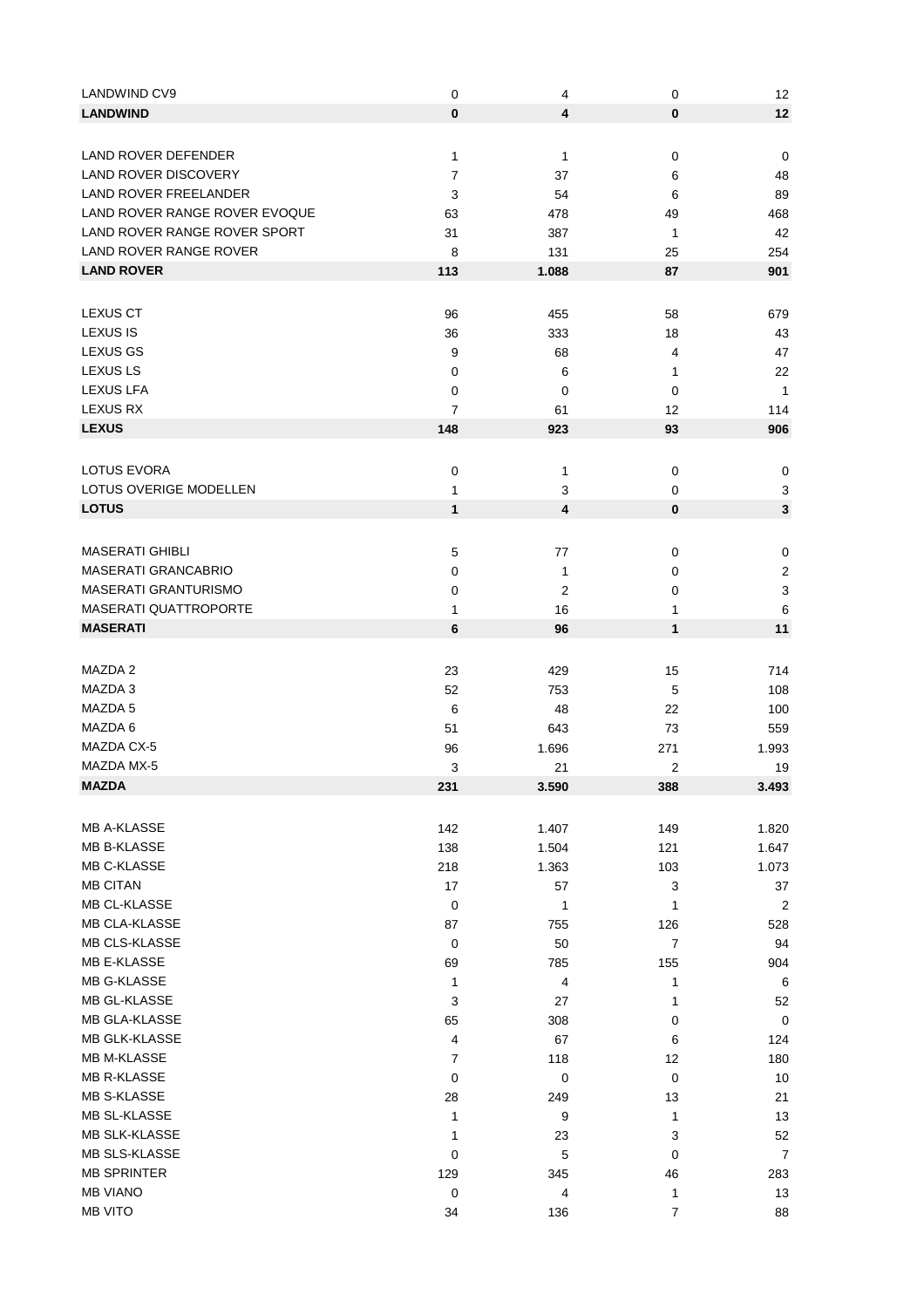| LANDWIND CV9                  | 0              | 4         | 0         | 12                        |
|-------------------------------|----------------|-----------|-----------|---------------------------|
| <b>LANDWIND</b>               | $\mathbf 0$    | 4         | $\bf{0}$  | 12                        |
|                               |                |           |           |                           |
| LAND ROVER DEFENDER           | 1              | 1         | $\pmb{0}$ | 0                         |
| <b>LAND ROVER DISCOVERY</b>   | $\overline{7}$ | 37        | 6         | 48                        |
| <b>LAND ROVER FREELANDER</b>  | 3              | 54        | 6         | 89                        |
| LAND ROVER RANGE ROVER EVOQUE | 63             | 478       | 49        | 468                       |
| LAND ROVER RANGE ROVER SPORT  | 31             | 387       | 1         | 42                        |
| LAND ROVER RANGE ROVER        | 8              | 131       | 25        | 254                       |
| <b>LAND ROVER</b>             | 113            | 1.088     | 87        | 901                       |
|                               |                |           |           |                           |
| <b>LEXUS CT</b>               |                |           |           |                           |
| LEXUS IS                      | 96             | 455       | 58        | 679                       |
| <b>LEXUS GS</b>               | 36             | 333       | 18        | 43                        |
| <b>LEXUS LS</b>               | 9              | 68        | 4         | 47                        |
| <b>LEXUS LFA</b>              | 0              | 6         | 1         | 22                        |
| <b>LEXUS RX</b>               | 0              | 0         | 0         | $\mathbf{1}$              |
| <b>LEXUS</b>                  | 7              | 61        | 12        | 114                       |
|                               | 148            | 923       | 93        | 906                       |
|                               |                |           |           |                           |
| <b>LOTUS EVORA</b>            | $\mathbf 0$    | 1         | 0         | 0                         |
| LOTUS OVERIGE MODELLEN        | 1              | 3         | 0         | 3                         |
| <b>LOTUS</b>                  | 1              | 4         | 0         | $\mathbf 3$               |
|                               |                |           |           |                           |
| <b>MASERATI GHIBLI</b>        | 5              | 77        | 0         | $\mathbf 0$               |
| MASERATI GRANCABRIO           | 0              | 1         | 0         | $\boldsymbol{2}$          |
| MASERATI GRANTURISMO          | 0              | 2         | 0         | $\ensuremath{\mathsf{3}}$ |
| <b>MASERATI QUATTROPORTE</b>  | 1              | 16        | 1         | 6                         |
| <b>MASERATI</b>               | 6              | 96        | 1         | 11                        |
|                               |                |           |           |                           |
| MAZDA 2                       | 23             | 429       | 15        | 714                       |
| MAZDA 3                       | 52             | 753       | 5         | 108                       |
| MAZDA 5                       | 6              | 48        | 22        | 100                       |
| MAZDA 6                       | 51             | 643       | 73        | 559                       |
| MAZDA CX-5                    | 96             | 1.696     | 271       | 1.993                     |
| MAZDA MX-5                    | 3              | 21        | 2         | 19                        |
| <b>MAZDA</b>                  | 231            | 3.590     | 388       | 3.493                     |
|                               |                |           |           |                           |
| <b>MB A-KLASSE</b>            | 142            | 1.407     | 149       | 1.820                     |
| <b>MB B-KLASSE</b>            | 138            | 1.504     | 121       | 1.647                     |
| MB C-KLASSE                   | 218            | 1.363     | 103       | 1.073                     |
| <b>MB CITAN</b>               | 17             | 57        | 3         | 37                        |
| <b>MB CL-KLASSE</b>           | 0              | 1         | 1         | $\boldsymbol{2}$          |
| MB CLA-KLASSE                 | 87             | 755       | 126       | 528                       |
| MB CLS-KLASSE                 | 0              | 50        | 7         | 94                        |
| MB E-KLASSE                   | 69             | 785       | 155       | 904                       |
| MB G-KLASSE                   | 1              | 4         | 1         | 6                         |
| MB GL-KLASSE                  | 3              | 27        | 1         | 52                        |
| MB GLA-KLASSE                 | 65             | 308       | 0         | 0                         |
| MB GLK-KLASSE                 | 4              | 67        | 6         | 124                       |
| <b>MB M-KLASSE</b>            | 7              | 118       | 12        | 180                       |
| <b>MB R-KLASSE</b>            | 0              | $\pmb{0}$ | 0         | 10                        |
| MB S-KLASSE                   | 28             | 249       | 13        | 21                        |
| MB SL-KLASSE                  | 1              | 9         | 1         | 13                        |
| <b>MB SLK-KLASSE</b>          | 1              | 23        | 3         | 52                        |
| MB SLS-KLASSE                 | 0              |           | 0         | $\overline{7}$            |
| <b>MB SPRINTER</b>            |                | 5         |           |                           |
| <b>MB VIANO</b>               | 129            | 345       | 46        | 283                       |
|                               | 0              | 4         | 1         | 13                        |
| <b>MB VITO</b>                | 34             | 136       | 7         | 88                        |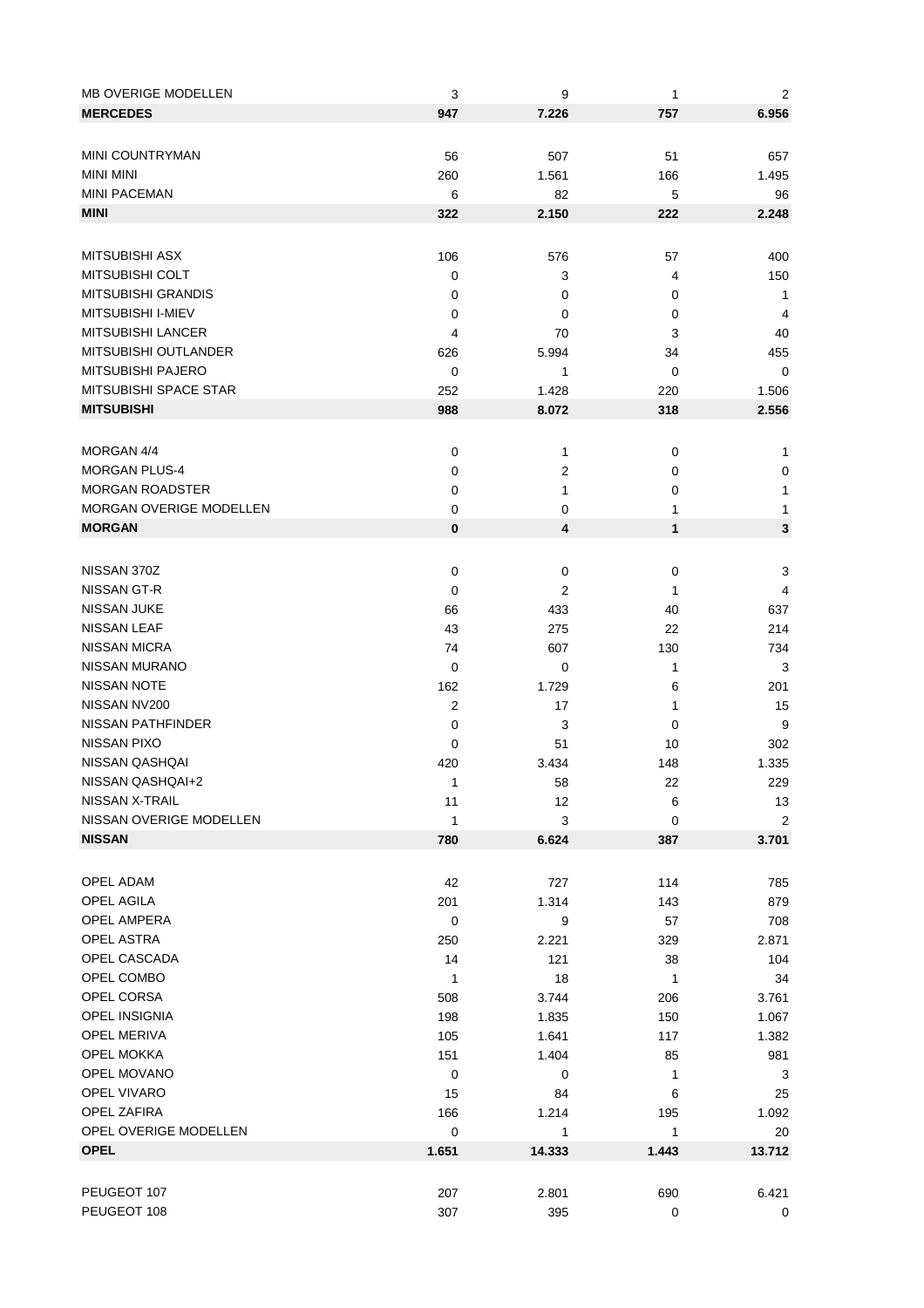| <b>MB OVERIGE MODELLEN</b> | 3              | 9              | 1         | 2              |
|----------------------------|----------------|----------------|-----------|----------------|
| <b>MERCEDES</b>            | 947            | 7.226          | 757       | 6.956          |
|                            |                |                |           |                |
| <b>MINI COUNTRYMAN</b>     | 56             | 507            | 51        | 657            |
| <b>MINI MINI</b>           | 260            | 1.561          | 166       | 1.495          |
| <b>MINI PACEMAN</b>        | 6              | 82             | 5         | 96             |
| <b>MINI</b>                |                |                |           |                |
|                            | 322            | 2.150          | 222       | 2.248          |
|                            |                |                |           |                |
| <b>MITSUBISHI ASX</b>      | 106            | 576            | 57        | 400            |
| <b>MITSUBISHI COLT</b>     | 0              | 3              | 4         | 150            |
| MITSUBISHI GRANDIS         | 0              | 0              | 0         | $\mathbf{1}$   |
| MITSUBISHI I-MIEV          | 0              | 0              | 0         | 4              |
| <b>MITSUBISHI LANCER</b>   | 4              | 70             | 3         | 40             |
| MITSUBISHI OUTLANDER       | 626            | 5.994          | 34        | 455            |
| MITSUBISHI PAJERO          | 0              | 1              | 0         | 0              |
| MITSUBISHI SPACE STAR      | 252            | 1.428          | 220       | 1.506          |
| <b>MITSUBISHI</b>          | 988            | 8.072          | 318       | 2.556          |
|                            |                |                |           |                |
| MORGAN 4/4                 | $\mathbf 0$    | 1              | 0         | 1              |
| <b>MORGAN PLUS-4</b>       | 0              | $\overline{c}$ | 0         | 0              |
| <b>MORGAN ROADSTER</b>     | 0              | 1              | 0         | 1              |
| MORGAN OVERIGE MODELLEN    | 0              | 0              | 1         | 1              |
| <b>MORGAN</b>              | 0              | 4              | 1         | 3              |
|                            |                |                |           |                |
|                            |                |                |           |                |
| NISSAN 370Z                | 0              | $\pmb{0}$      | 0         | 3              |
| NISSAN GT-R                | 0              | $\overline{2}$ | 1         | 4              |
| <b>NISSAN JUKE</b>         | 66             | 433            | 40        | 637            |
| <b>NISSAN LEAF</b>         | 43             | 275            | 22        | 214            |
| NISSAN MICRA               | 74             | 607            | 130       | 734            |
| NISSAN MURANO              | 0              | 0              | 1         | 3              |
| <b>NISSAN NOTE</b>         | 162            | 1.729          | 6         | 201            |
| NISSAN NV200               | $\overline{c}$ | 17             | 1         | 15             |
| NISSAN PATHFINDER          | 0              | 3              | 0         | 9              |
| NISSAN PIXO                | 0              | 51             | 10        | 302            |
| NISSAN QASHQAI             | 420            | 3.434          | 148       | 1.335          |
| NISSAN QASHQAI+2           | 1              | 58             | 22        | 229            |
| NISSAN X-TRAIL             | 11             | 12             | 6         | 13             |
| NISSAN OVERIGE MODELLEN    | 1              | 3              | $\pmb{0}$ | $\overline{2}$ |
| <b>NISSAN</b>              | 780            | 6.624          | 387       | 3.701          |
|                            |                |                |           |                |
| OPEL ADAM                  | 42             | 727            | 114       | 785            |
| OPEL AGILA                 | 201            | 1.314          | 143       | 879            |
| OPEL AMPERA                | $\mathbf 0$    | 9              | 57        | 708            |
| <b>OPEL ASTRA</b>          | 250            | 2.221          | 329       | 2.871          |
| OPEL CASCADA               | 14             | 121            | 38        | 104            |
| OPEL COMBO                 | 1              | 18             | 1         | 34             |
| OPEL CORSA                 | 508            | 3.744          | 206       | 3.761          |
| OPEL INSIGNIA              | 198            | 1.835          | 150       | 1.067          |
| OPEL MERIVA                | 105            | 1.641          | 117       | 1.382          |
| OPEL MOKKA                 | 151            | 1.404          | 85        | 981            |
| OPEL MOVANO                | $\mathbf 0$    | 0              | 1         | 3              |
| OPEL VIVARO                |                |                |           |                |
| OPEL ZAFIRA                | 15             | 84             | 6         | 25             |
|                            | 166            | 1.214          | 195       | 1.092          |
| OPEL OVERIGE MODELLEN      | $\pmb{0}$      | 1              | 1         | 20             |
| <b>OPEL</b>                | 1.651          | 14.333         | 1.443     | 13.712         |
|                            |                |                |           |                |
| PEUGEOT 107                | 207            | 2.801          | 690       | 6.421          |
| PEUGEOT 108                | 307            | 395            | $\pmb{0}$ | 0              |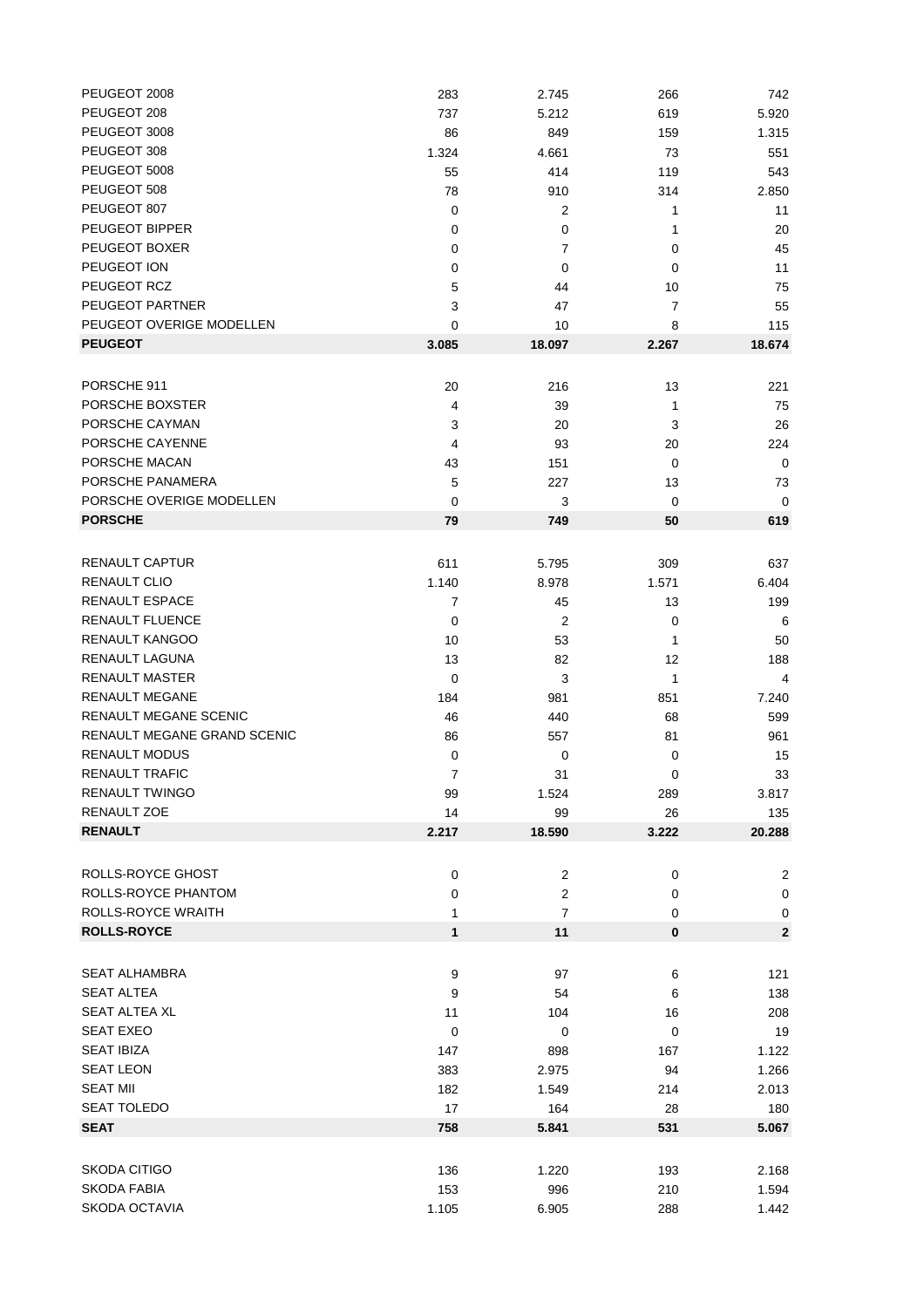| PEUGEOT 2008                | 283            | 2.745          | 266      | 742            |
|-----------------------------|----------------|----------------|----------|----------------|
| PEUGEOT 208                 | 737            | 5.212          | 619      | 5.920          |
| PEUGEOT 3008                | 86             | 849            | 159      | 1.315          |
| PEUGEOT 308                 | 1.324          | 4.661          | 73       | 551            |
| PEUGEOT 5008                | 55             | 414            | 119      | 543            |
| PEUGEOT 508                 | 78             | 910            | 314      | 2.850          |
| PEUGEOT 807                 | 0              | 2              | 1        | 11             |
| PEUGEOT BIPPER              | 0              | 0              | 1        | 20             |
| PEUGEOT BOXER               | 0              | 7              | 0        | 45             |
| PEUGEOT ION                 | 0              | 0              | 0        | 11             |
| PEUGEOT RCZ                 |                |                |          | 75             |
|                             | 5              | 44             | 10       |                |
| PEUGEOT PARTNER             | 3              | 47             | 7        | 55             |
| PEUGEOT OVERIGE MODELLEN    | 0              | 10             | 8        | 115            |
| <b>PEUGEOT</b>              | 3.085          | 18.097         | 2.267    | 18.674         |
|                             |                |                |          |                |
| PORSCHE 911                 | 20             | 216            | 13       | 221            |
| PORSCHE BOXSTER             | 4              | 39             | 1        | 75             |
| PORSCHE CAYMAN              | 3              | 20             | 3        | 26             |
| PORSCHE CAYENNE             | 4              | 93             | 20       | 224            |
| PORSCHE MACAN               | 43             | 151            | 0        | 0              |
| PORSCHE PANAMERA            | 5              | 227            | 13       | 73             |
| PORSCHE OVERIGE MODELLEN    | $\mathbf 0$    | 3              |          |                |
| <b>PORSCHE</b>              |                |                | 0        | 0              |
|                             | 79             | 749            | 50       | 619            |
|                             |                |                |          |                |
| RENAULT CAPTUR              | 611            | 5.795          | 309      | 637            |
| RENAULT CLIO                | 1.140          | 8.978          | 1.571    | 6.404          |
| RENAULT ESPACE              | 7              | 45             | 13       | 199            |
| RENAULT FLUENCE             | 0              | 2              | 0        | 6              |
| RENAULT KANGOO              | 10             | 53             | 1        | 50             |
| RENAULT LAGUNA              | 13             | 82             | 12       | 188            |
| <b>RENAULT MASTER</b>       | 0              | 3              | 1        | 4              |
| <b>RENAULT MEGANE</b>       | 184            | 981            | 851      | 7.240          |
| RENAULT MEGANE SCENIC       | 46             | 440            | 68       | 599            |
| RENAULT MEGANE GRAND SCENIC | 86             | 557            | 81       | 961            |
| <b>RENAULT MODUS</b>        | $\mathbf 0$    | 0              | 0        | 15             |
| RENAULT TRAFIC              | $\overline{7}$ | 31             | 0        | 33             |
| RENAULT TWINGO              |                |                |          | 3.817          |
| RENAULT ZOE                 | 99             | 1.524          | 289      |                |
|                             | 14             | 99             | 26       | 135            |
| <b>RENAULT</b>              | 2.217          | 18.590         | 3.222    | 20.288         |
|                             |                |                |          |                |
| <b>ROLLS-ROYCE GHOST</b>    | 0              | 2              | 0        | $\overline{2}$ |
| ROLLS-ROYCE PHANTOM         | 0              | 2              | 0        | $\mathbf 0$    |
| ROLLS-ROYCE WRAITH          | 1              | $\overline{7}$ | 0        | 0              |
| <b>ROLLS-ROYCE</b>          | $\mathbf{1}$   | 11             | $\bf{0}$ | $\mathbf 2$    |
|                             |                |                |          |                |
| <b>SEAT ALHAMBRA</b>        | 9              | 97             | 6        | 121            |
| <b>SEAT ALTEA</b>           |                |                |          |                |
|                             | 9              | 54             | 6        | 138            |
| <b>SEAT ALTEA XL</b>        | 11             | 104            | 16       | 208            |
| <b>SEAT EXEO</b>            | $\mathbf 0$    | 0              | 0        | 19             |
| <b>SEAT IBIZA</b>           | 147            | 898            | 167      | 1.122          |
| <b>SEAT LEON</b>            | 383            | 2.975          | 94       | 1.266          |
| <b>SEAT MII</b>             | 182            | 1.549          | 214      | 2.013          |
| SEAT TOLEDO                 | 17             | 164            | 28       | 180            |
| <b>SEAT</b>                 | 758            | 5.841          | 531      | 5.067          |
|                             |                |                |          |                |
| <b>SKODA CITIGO</b>         | 136            | 1.220          | 193      | 2.168          |
| <b>SKODA FABIA</b>          | 153            | 996            | 210      | 1.594          |
| SKODA OCTAVIA               | 1.105          | 6.905          | 288      | 1.442          |
|                             |                |                |          |                |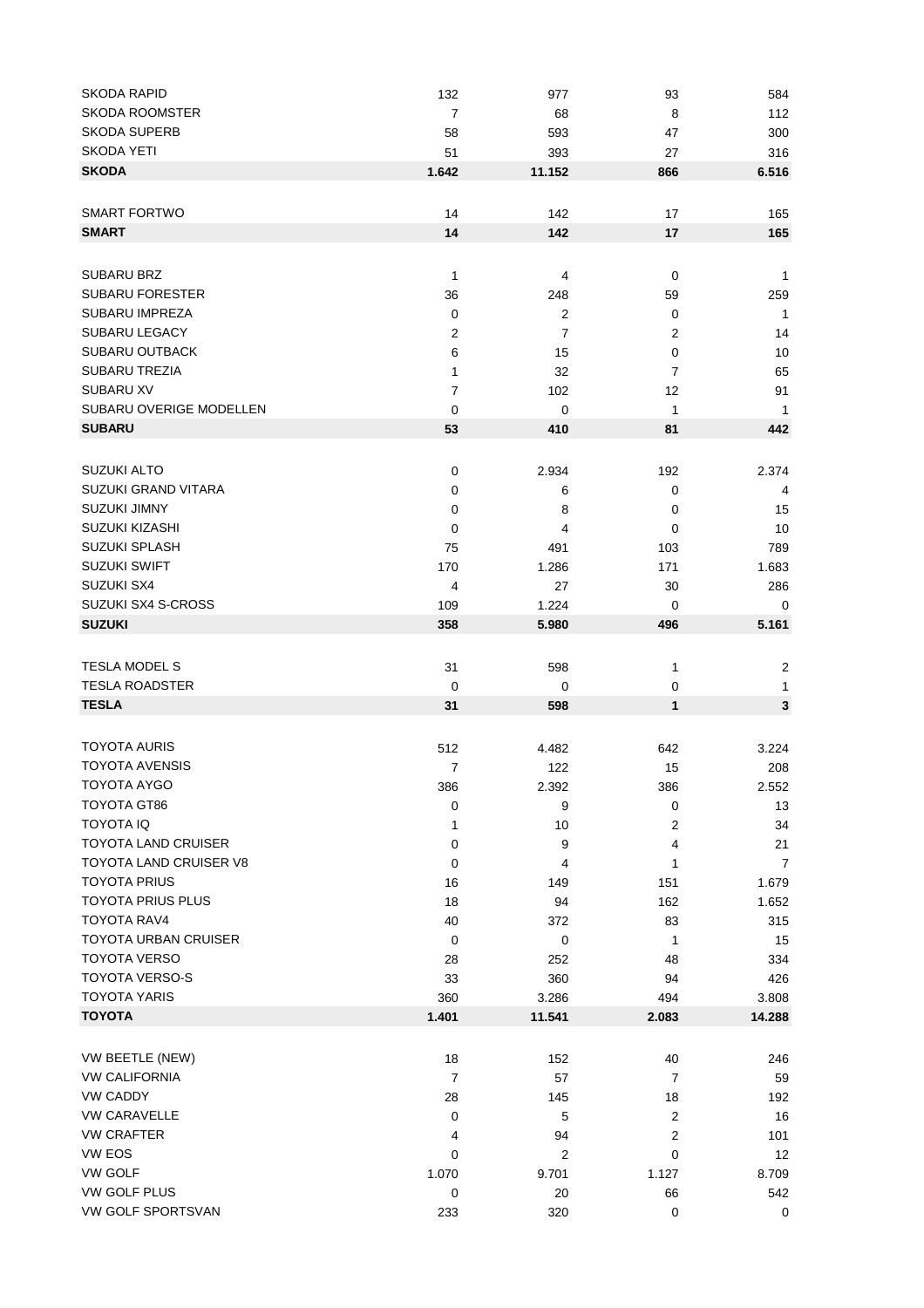| SKODA RAPID                 | 132            | 977            | 93             | 584            |
|-----------------------------|----------------|----------------|----------------|----------------|
| <b>SKODA ROOMSTER</b>       | 7              | 68             | 8              | 112            |
| <b>SKODA SUPERB</b>         | 58             | 593            | 47             | 300            |
| SKODA YETI                  | 51             | 393            | 27             | 316            |
| <b>SKODA</b>                | 1.642          | 11.152         | 866            | 6.516          |
|                             |                |                |                |                |
| <b>SMART FORTWO</b>         | 14             | 142            | 17             | 165            |
| <b>SMART</b>                | 14             | 142            | 17             | 165            |
|                             |                |                |                |                |
|                             |                |                |                |                |
| SUBARU BRZ                  | $\mathbf{1}$   | 4              | 0              | $\mathbf{1}$   |
| <b>SUBARU FORESTER</b>      | 36             | 248            | 59             | 259            |
| <b>SUBARU IMPREZA</b>       | 0              | 2              | 0              | $\overline{1}$ |
| <b>SUBARU LEGACY</b>        | $\overline{c}$ | $\overline{7}$ | 2              | 14             |
| <b>SUBARU OUTBACK</b>       | 6              | 15             | 0              | 10             |
| <b>SUBARU TREZIA</b>        | 1              | 32             | 7              | 65             |
| <b>SUBARU XV</b>            | $\overline{7}$ | 102            | 12             | 91             |
| SUBARU OVERIGE MODELLEN     | 0              | 0              | 1              | $\mathbf{1}$   |
| <b>SUBARU</b>               | 53             | 410            | 81             | 442            |
|                             |                |                |                |                |
| <b>SUZUKI ALTO</b>          | $\mathbf 0$    | 2.934          | 192            | 2.374          |
| SUZUKI GRAND VITARA         | 0              | 6              | 0              | 4              |
| <b>SUZUKI JIMNY</b>         | 0              | 8              | 0              | 15             |
| <b>SUZUKI KIZASHI</b>       | 0              | 4              | 0              | 10             |
| <b>SUZUKI SPLASH</b>        | 75             | 491            | 103            | 789            |
| <b>SUZUKI SWIFT</b>         | 170            | 1.286          | 171            | 1.683          |
| SUZUKI SX4                  |                |                |                |                |
|                             | 4              | 27             | 30             | 286            |
| SUZUKI SX4 S-CROSS          | 109            | 1.224          | 0              | 0              |
| <b>SUZUKI</b>               | 358            | 5.980          | 496            | 5.161          |
|                             |                |                |                |                |
| <b>TESLA MODEL S</b>        | 31             | 598            | 1              | $\overline{2}$ |
| <b>TESLA ROADSTER</b>       | 0              | 0              | 0              | 1              |
| <b>TESLA</b>                | 31             | 598            | $\mathbf{1}$   | $\mathbf 3$    |
|                             |                |                |                |                |
| <b>TOYOTA AURIS</b>         | 512            | 4.482          | 642            | 3.224          |
| <b>TOYOTA AVENSIS</b>       | $\overline{7}$ | 122            | 15             | 208            |
| <b>TOYOTA AYGO</b>          | 386            | 2.392          | 386            | 2.552          |
| TOYOTA GT86                 | $\mathbf 0$    | 9              | 0              | 13             |
| <b>TOYOTA IQ</b>            | 1              | 10             | 2              | 34             |
| <b>TOYOTA LAND CRUISER</b>  | 0              | 9              | 4              | 21             |
| TOYOTA LAND CRUISER V8      | 0              | 4              | 1              | 7              |
| <b>TOYOTA PRIUS</b>         | 16             | 149            | 151            | 1.679          |
| <b>TOYOTA PRIUS PLUS</b>    | 18             | 94             | 162            | 1.652          |
| <b>TOYOTA RAV4</b>          | 40             | 372            | 83             | 315            |
| <b>TOYOTA URBAN CRUISER</b> |                |                |                |                |
| <b>TOYOTA VERSO</b>         | 0              | 0              | 1              | 15             |
|                             | 28             | 252            | 48             | 334            |
| TOYOTA VERSO-S              | 33             | 360            | 94             | 426            |
| <b>TOYOTA YARIS</b>         | 360            | 3.286          | 494            | 3.808          |
| <b>TOYOTA</b>               | 1.401          | 11.541         | 2.083          | 14.288         |
|                             |                |                |                |                |
| VW BEETLE (NEW)             | 18             | 152            | 40             | 246            |
| <b>VW CALIFORNIA</b>        | $\overline{7}$ | 57             | 7              | 59             |
| <b>VW CADDY</b>             | 28             | 145            | 18             | 192            |
| <b>VW CARAVELLE</b>         | 0              | 5              | $\overline{2}$ | 16             |
| <b>VW CRAFTER</b>           | 4              | 94             | 2              | 101            |
| VW EOS                      | 0              | 2              | 0              | 12             |
| <b>VW GOLF</b>              | 1.070          | 9.701          | 1.127          | 8.709          |
| VW GOLF PLUS                | $\pmb{0}$      | 20             | 66             | 542            |
| VW GOLF SPORTSVAN           | 233            | 320            | $\mathbf 0$    | $\pmb{0}$      |